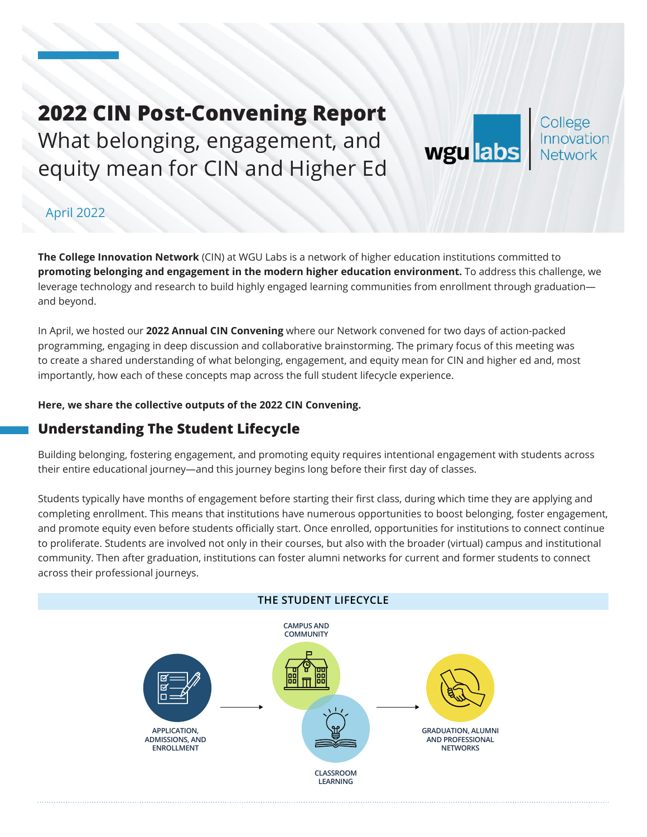# **2022 CIN Post-Convening Report**

What belonging, engagement, and equity mean for CIN and Higher Ed

#### April 2022

**The College Innovation Network** (CIN) at WGU Labs is a network of higher education institutions committed to **promoting belonging and engagement in the modern higher education environment.** To address this challenge, we leverage technology and research to build highly engaged learning communities from enrollment through graduation and beyond.

wgu labs

In April, we hosted our **2022 Annual CIN Convening** where our Network convened for two days of action-packed programming, engaging in deep discussion and collaborative brainstorming. The primary focus of this meeting was to create a shared understanding of what belonging, engagement, and equity mean for CIN and higher ed and, most importantly, how each of these concepts map across the full student lifecycle experience.

**Here, we share the collective outputs of the 2022 CIN Convening.**

# **Understanding The Student Lifecycle**

Building belonging, fostering engagement, and promoting equity requires intentional engagement with students across their entire educational journey—and this journey begins long before their first day of classes.

Students typically have months of engagement before starting their first class, during which time they are applying and completing enrollment. This means that institutions have numerous opportunities to boost belonging, foster engagement, and promote equity even before students officially start. Once enrolled, opportunities for institutions to connect continue to proliferate. Students are involved not only in their courses, but also with the broader (virtual) campus and institutional community. Then after graduation, institutions can foster alumni networks for current and former students to connect across their professional journeys.

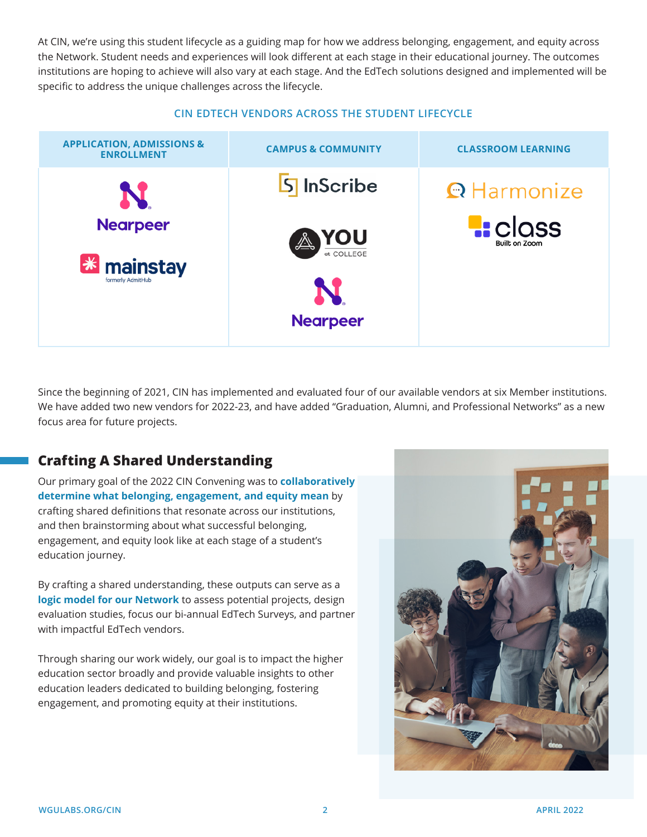At CIN, we're using this student lifecycle as a guiding map for how we address belonging, engagement, and equity across the Network. Student needs and experiences will look different at each stage in their educational journey. The outcomes institutions are hoping to achieve will also vary at each stage. And the EdTech solutions designed and implemented will be specific to address the unique challenges across the lifecycle.

#### **CIN EDTECH VENDORS ACROSS THE STUDENT LIFECYCLE**



Since the beginning of 2021, CIN has implemented and evaluated four of our available vendors at six Member institutions. We have added two new vendors for 2022-23, and have added "Graduation, Alumni, and Professional Networks" as a new focus area for future projects.

# **Crafting A Shared Understanding**

Our primary goal of the 2022 CIN Convening was to **collaboratively determine what belonging, engagement, and equity mean** by crafting shared definitions that resonate across our institutions, and then brainstorming about what successful belonging, engagement, and equity look like at each stage of a student's education journey.

By crafting a shared understanding, these outputs can serve as a **logic model for our Network** to assess potential projects, design evaluation studies, focus our bi-annual EdTech Surveys, and partner with impactful EdTech vendors.

Through sharing our work widely, our goal is to impact the higher education sector broadly and provide valuable insights to other education leaders dedicated to building belonging, fostering engagement, and promoting equity at their institutions.

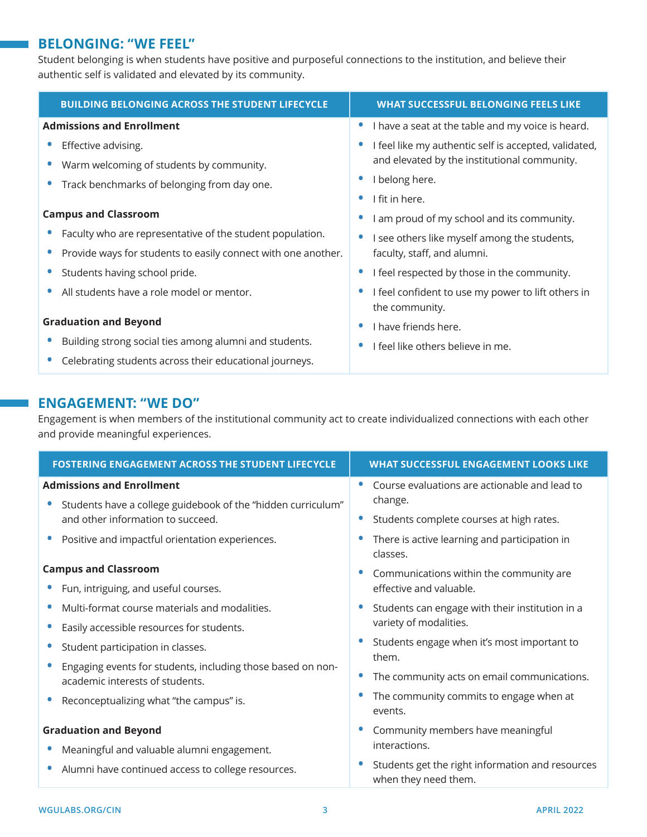#### **BELONGING: "WE FEEL"**

Student belonging is when students have positive and purposeful connections to the institution, and believe their authentic self is validated and elevated by its community.

|                                  | <b>BUILDING BELONGING ACROSS THE STUDENT LIFECYCLE</b>        |           | <b>WHAT SUCCESSFUL BELONGING FEELS LIKE</b>           |  |  |
|----------------------------------|---------------------------------------------------------------|-----------|-------------------------------------------------------|--|--|
| <b>Admissions and Enrollment</b> |                                                               |           | I have a seat at the table and my voice is heard.     |  |  |
|                                  | Effective advising.                                           |           | I feel like my authentic self is accepted, validated, |  |  |
|                                  | Warm welcoming of students by community.                      |           | and elevated by the institutional community.          |  |  |
|                                  | Track benchmarks of belonging from day one.                   | $\bullet$ | I belong here.                                        |  |  |
|                                  |                                                               | ٠         | I fit in here.                                        |  |  |
| <b>Campus and Classroom</b>      |                                                               |           | I am proud of my school and its community.            |  |  |
|                                  | Faculty who are representative of the student population.     |           | I see others like myself among the students,          |  |  |
|                                  | Provide ways for students to easily connect with one another. |           | faculty, staff, and alumni.                           |  |  |
|                                  | Students having school pride.                                 |           | I feel respected by those in the community.           |  |  |
|                                  | All students have a role model or mentor.                     |           | I feel confident to use my power to lift others in    |  |  |
|                                  |                                                               |           | the community.                                        |  |  |
| <b>Graduation and Beyond</b>     |                                                               |           | I have friends here.                                  |  |  |
|                                  | Building strong social ties among alumni and students.        |           | I feel like others believe in me.                     |  |  |
|                                  | Celebrating students across their educational journeys.       |           |                                                       |  |  |

#### **ENGAGEMENT: "WE DO"**

Engagement is when members of the institutional community act to create individualized connections with each other and provide meaningful experiences.

| <b>FOSTERING ENGAGEMENT ACROSS THE STUDENT LIFECYCLE</b>                                          | <b>WHAT SUCCESSFUL ENGAGEMENT LOOKS LIKE</b>                             |  |  |
|---------------------------------------------------------------------------------------------------|--------------------------------------------------------------------------|--|--|
| <b>Admissions and Enrollment</b>                                                                  | Course evaluations are actionable and lead to<br>$\bullet$               |  |  |
| Students have a college guidebook of the "hidden curriculum"<br>and other information to succeed. | change.<br>Students complete courses at high rates.<br>$\bullet$         |  |  |
| Positive and impactful orientation experiences.                                                   | There is active learning and participation in<br>classes.                |  |  |
| <b>Campus and Classroom</b>                                                                       | Communications within the community are                                  |  |  |
| Fun, intriguing, and useful courses.                                                              | effective and valuable.                                                  |  |  |
| Multi-format course materials and modalities.                                                     | Students can engage with their institution in a                          |  |  |
| Easily accessible resources for students.                                                         | variety of modalities.                                                   |  |  |
| Student participation in classes.                                                                 | Students engage when it's most important to<br>them.                     |  |  |
| Engaging events for students, including those based on non-                                       |                                                                          |  |  |
| academic interests of students.                                                                   | The community acts on email communications.                              |  |  |
| Reconceptualizing what "the campus" is.                                                           | The community commits to engage when at<br>events.                       |  |  |
| <b>Graduation and Beyond</b>                                                                      | Community members have meaningful                                        |  |  |
| Meaningful and valuable alumni engagement.                                                        | interactions.                                                            |  |  |
| Alumni have continued access to college resources.                                                | Students get the right information and resources<br>when they need them. |  |  |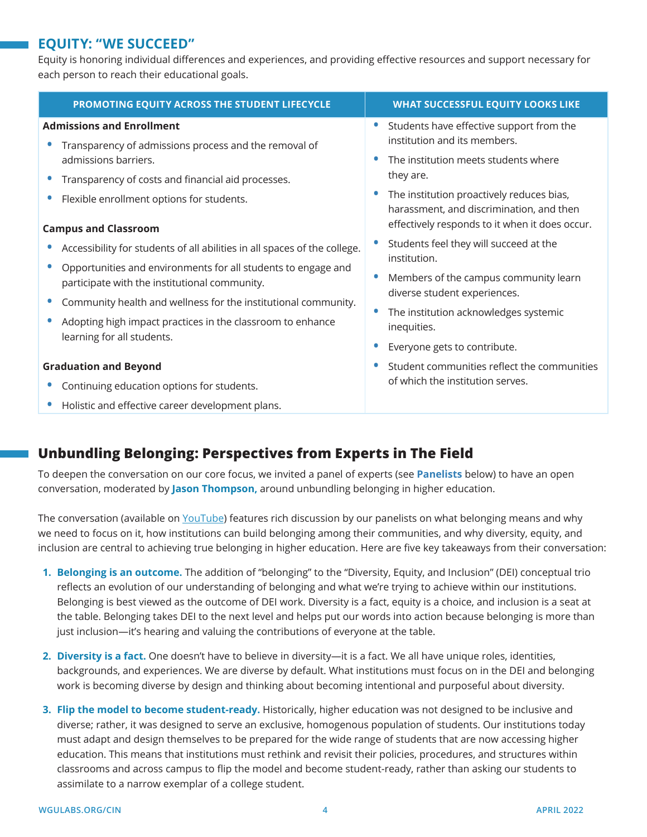#### **EQUITY: "WE SUCCEED"**

Equity is honoring individual differences and experiences, and providing effective resources and support necessary for each person to reach their educational goals.

|                                  | PROMOTING EQUITY ACROSS THE STUDENT LIFECYCLE                                                                  |  | <b>WHAT SUCCESSFUL EQUITY LOOKS LIKE</b>                                                                                                                                   |
|----------------------------------|----------------------------------------------------------------------------------------------------------------|--|----------------------------------------------------------------------------------------------------------------------------------------------------------------------------|
| <b>Admissions and Enrollment</b> |                                                                                                                |  | Students have effective support from the                                                                                                                                   |
|                                  | Transparency of admissions process and the removal of<br>admissions barriers.                                  |  | institution and its members.<br>The institution meets students where<br>they are.<br>The institution proactively reduces bias,<br>harassment, and discrimination, and then |
|                                  | Transparency of costs and financial aid processes.                                                             |  |                                                                                                                                                                            |
|                                  | Flexible enrollment options for students.                                                                      |  |                                                                                                                                                                            |
| <b>Campus and Classroom</b>      |                                                                                                                |  | effectively responds to it when it does occur.                                                                                                                             |
|                                  | Accessibility for students of all abilities in all spaces of the college.                                      |  | Students feel they will succeed at the<br>institution.                                                                                                                     |
|                                  | Opportunities and environments for all students to engage and<br>participate with the institutional community. |  | Members of the campus community learn                                                                                                                                      |
|                                  | Community health and wellness for the institutional community.                                                 |  | diverse student experiences.                                                                                                                                               |
|                                  | Adopting high impact practices in the classroom to enhance<br>learning for all students.                       |  | The institution acknowledges systemic<br>inequities.                                                                                                                       |
|                                  |                                                                                                                |  | Everyone gets to contribute.                                                                                                                                               |
| <b>Graduation and Beyond</b>     |                                                                                                                |  | Student communities reflect the communities                                                                                                                                |
|                                  | Continuing education options for students.                                                                     |  | of which the institution serves.                                                                                                                                           |
|                                  | Holistic and effective career development plans.                                                               |  |                                                                                                                                                                            |

# **Unbundling Belonging: Perspectives from Experts in The Field**

To deepen the conversation on our core focus, we invited a panel of experts (see **Panelists** below) to have an open conversation, moderated by **Jason Thompson,** around unbundling belonging in higher education.

The conversation (available on [YouTube\)](https://www.youtube.com/watch?v=71A7zQdwIt8) features rich discussion by our panelists on what belonging means and why we need to focus on it, how institutions can build belonging among their communities, and why diversity, equity, and inclusion are central to achieving true belonging in higher education. Here are five key takeaways from their conversation:

- **1. Belonging is an outcome.** The addition of "belonging" to the "Diversity, Equity, and Inclusion" (DEI) conceptual trio reflects an evolution of our understanding of belonging and what we're trying to achieve within our institutions. Belonging is best viewed as the outcome of DEI work. Diversity is a fact, equity is a choice, and inclusion is a seat at the table. Belonging takes DEI to the next level and helps put our words into action because belonging is more than just inclusion—it's hearing and valuing the contributions of everyone at the table.
- **2. Diversity is a fact.** One doesn't have to believe in diversity—it is a fact. We all have unique roles, identities, backgrounds, and experiences. We are diverse by default. What institutions must focus on in the DEI and belonging work is becoming diverse by design and thinking about becoming intentional and purposeful about diversity.
- **3. Flip the model to become student-ready.** Historically, higher education was not designed to be inclusive and diverse; rather, it was designed to serve an exclusive, homogenous population of students. Our institutions today must adapt and design themselves to be prepared for the wide range of students that are now accessing higher education. This means that institutions must rethink and revisit their policies, procedures, and structures within classrooms and across campus to flip the model and become student-ready, rather than asking our students to assimilate to a narrow exemplar of a college student.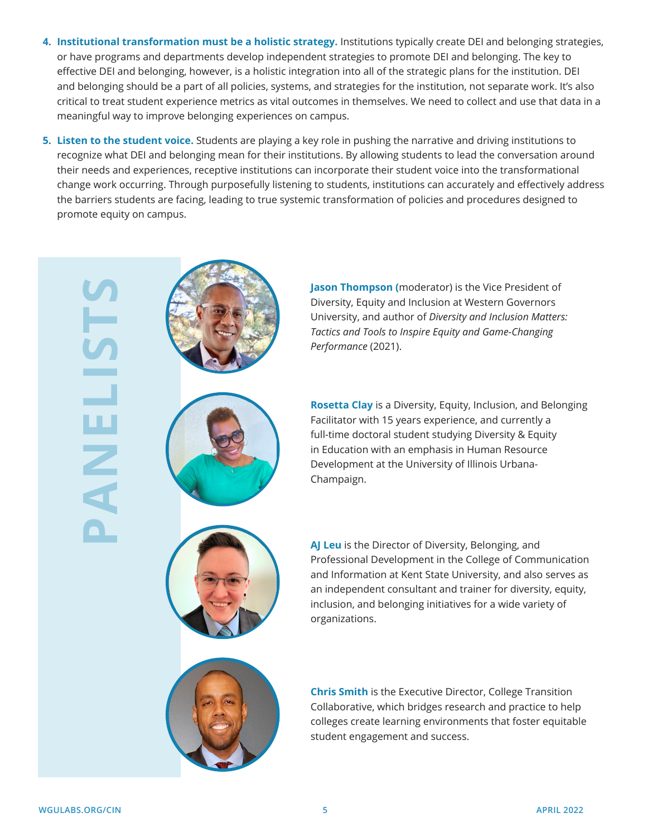- **4. Institutional transformation must be a holistic strategy.** Institutions typically create DEI and belonging strategies, or have programs and departments develop independent strategies to promote DEI and belonging. The key to effective DEI and belonging, however, is a holistic integration into all of the strategic plans for the institution. DEI and belonging should be a part of all policies, systems, and strategies for the institution, not separate work. It's also critical to treat student experience metrics as vital outcomes in themselves. We need to collect and use that data in a meaningful way to improve belonging experiences on campus.
- **5. Listen to the student voice.** Students are playing a key role in pushing the narrative and driving institutions to recognize what DEI and belonging mean for their institutions. By allowing students to lead the conversation around their needs and experiences, receptive institutions can incorporate their student voice into the transformational change work occurring. Through purposefully listening to students, institutions can accurately and effectively address the barriers students are facing, leading to true systemic transformation of policies and procedures designed to promote equity on campus.



**Jason Thompson (**moderator) is the Vice President of Diversity, Equity and Inclusion at Western Governors University, and author of *Diversity and Inclusion Matters: Tactics and Tools to Inspire Equity and Game-Changing Performance* (2021).

**Rosetta Clay** is a Diversity, Equity, Inclusion, and Belonging Facilitator with 15 years experience, and currently a full-time doctoral student studying Diversity & Equity in Education with an emphasis in Human Resource Development at the University of Illinois Urbana-Champaign.



**AJ Leu** is the Director of Diversity, Belonging, and Professional Development in the College of Communication and Information at Kent State University, and also serves as an independent consultant and trainer for diversity, equity, inclusion, and belonging initiatives for a wide variety of organizations.



**Chris Smith** is the Executive Director, College Transition Collaborative, which bridges research and practice to help colleges create learning environments that foster equitable student engagement and success.